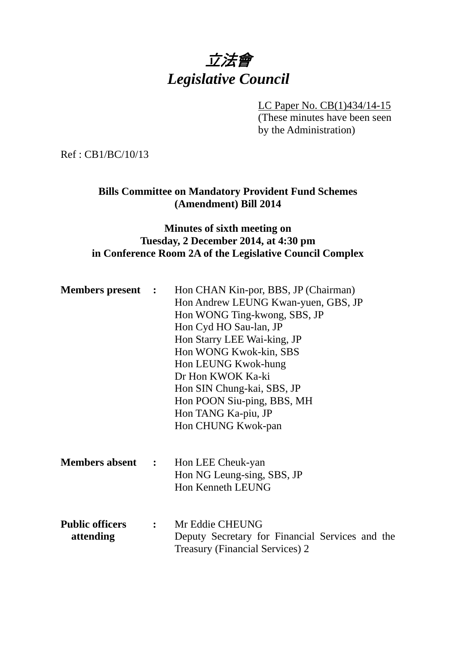# 立法會 *Legislative Council*

LC Paper No. CB(1)434/14-15

(These minutes have been seen by the Administration)

Ref : CB1/BC/10/13

## **Bills Committee on Mandatory Provident Fund Schemes (Amendment) Bill 2014**

## **Minutes of sixth meeting on Tuesday, 2 December 2014, at 4:30 pm in Conference Room 2A of the Legislative Council Complex**

| <b>Members present :</b>            | Hon CHAN Kin-por, BBS, JP (Chairman)<br>Hon Andrew LEUNG Kwan-yuen, GBS, JP<br>Hon WONG Ting-kwong, SBS, JP<br>Hon Cyd HO Sau-lan, JP<br>Hon Starry LEE Wai-king, JP<br>Hon WONG Kwok-kin, SBS<br>Hon LEUNG Kwok-hung<br>Dr Hon KWOK Ka-ki<br>Hon SIN Chung-kai, SBS, JP<br>Hon POON Siu-ping, BBS, MH<br>Hon TANG Ka-piu, JP<br>Hon CHUNG Kwok-pan |
|-------------------------------------|-----------------------------------------------------------------------------------------------------------------------------------------------------------------------------------------------------------------------------------------------------------------------------------------------------------------------------------------------------|
| <b>Members absent</b>               | : Hon LEE Cheuk-yan<br>Hon NG Leung-sing, SBS, JP<br>Hon Kenneth LEUNG                                                                                                                                                                                                                                                                              |
| <b>Public officers</b><br>attending | : Mr Eddie CHEUNG<br>Deputy Secretary for Financial Services and the<br><b>Treasury (Financial Services) 2</b>                                                                                                                                                                                                                                      |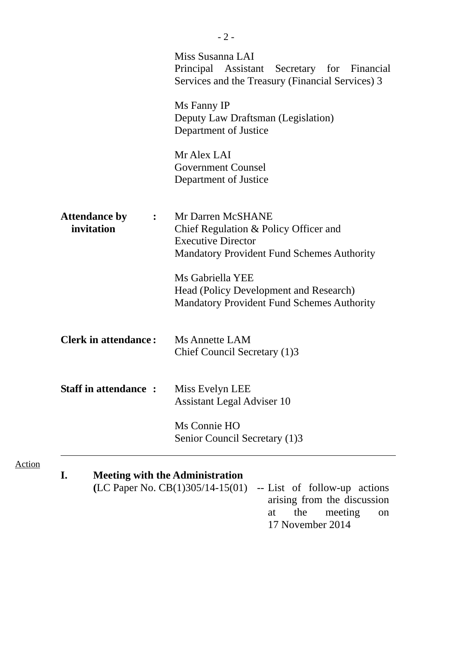|                                                      | Miss Susanna LAI<br>Principal Assistant<br>Secretary for Financial<br>Services and the Treasury (Financial Services) 3                       |
|------------------------------------------------------|----------------------------------------------------------------------------------------------------------------------------------------------|
|                                                      | Ms Fanny IP<br>Deputy Law Draftsman (Legislation)<br>Department of Justice                                                                   |
|                                                      | Mr Alex LAI<br><b>Government Counsel</b><br>Department of Justice                                                                            |
| <b>Attendance by</b><br>$\ddot{\cdot}$<br>invitation | Mr Darren McSHANE<br>Chief Regulation & Policy Officer and<br><b>Executive Director</b><br><b>Mandatory Provident Fund Schemes Authority</b> |
|                                                      | Ms Gabriella YEE<br>Head (Policy Development and Research)<br><b>Mandatory Provident Fund Schemes Authority</b>                              |
| <b>Clerk in attendance:</b>                          | Ms Annette LAM<br>Chief Council Secretary (1)3                                                                                               |
| <b>Staff in attendance:</b>                          | Miss Evelyn LEE<br><b>Assistant Legal Adviser 10</b>                                                                                         |
|                                                      | Ms Connie HO<br>Senior Council Secretary (1)3                                                                                                |
| I.                                                   | <b>Meeting with the Administration</b><br>$(LC$ Paper No. $CB(1)305/14-15(01)$ -- List of follow-up actions                                  |

Action

arising from the discussion<br>at the meeting on at the meeting on 17 November 2014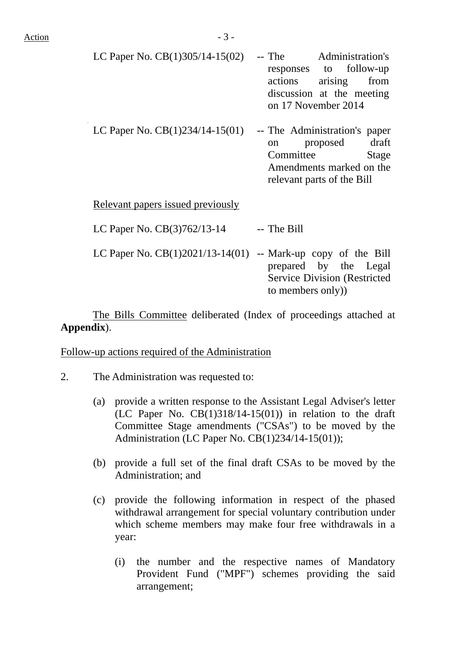| LC Paper No. $CB(1)305/14-15(02)$ -- The Administration's |                                                |
|-----------------------------------------------------------|------------------------------------------------|
|                                                           | responses to follow-up<br>actions arising from |
|                                                           | discussion at the meeting                      |
|                                                           | on 17 November 2014                            |
| I C Daper No. CR(1)234/14 15(01)                          | The Administration's naper                     |

LC Paper No.  $CB(1)234/14-15(01)$  -- The Administration's paper on proposed draft Committee Stage Amendments marked on the relevant parts of the Bill

Relevant papers issued previously

LC Paper No.  $CB(3)762/13-14$  -- The Bill

LC Paper No.  $CB(1)2021/13-14(01)$  -- Mark-up copy of the Bill prepared by the Legal Service Division (Restricted to members only))

The Bills Committee deliberated (Index of proceedings attached at **Appendix**).

Follow-up actions required of the Administration

- 2. The Administration was requested to:
	- (a) provide a written response to the Assistant Legal Adviser's letter (LC Paper No.  $CB(1)318/14-15(01)$ ) in relation to the draft Committee Stage amendments ("CSAs") to be moved by the Administration (LC Paper No. CB(1)234/14-15(01));
	- (b) provide a full set of the final draft CSAs to be moved by the Administration; and
	- (c) provide the following information in respect of the phased withdrawal arrangement for special voluntary contribution under which scheme members may make four free withdrawals in a year:
		- (i) the number and the respective names of Mandatory Provident Fund ("MPF") schemes providing the said arrangement;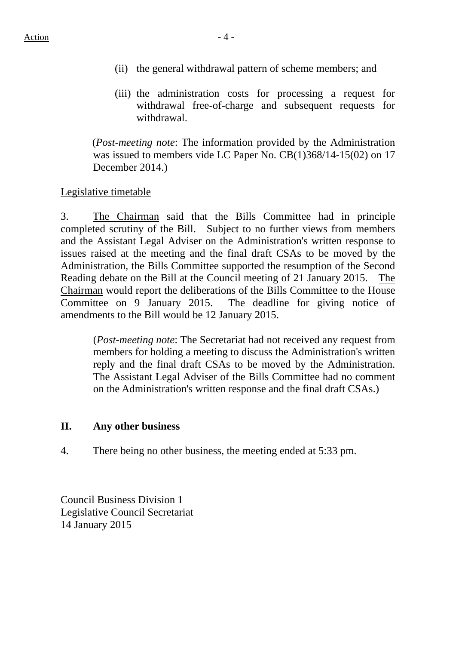- (ii) the general withdrawal pattern of scheme members; and
- (iii) the administration costs for processing a request for withdrawal free-of-charge and subsequent requests for withdrawal.

 (*Post-meeting note*: The information provided by the Administration was issued to members vide LC Paper No. CB(1)368/14-15(02) on 17 December 2014.)

### Legislative timetable

3. The Chairman said that the Bills Committee had in principle completed scrutiny of the Bill. Subject to no further views from members and the Assistant Legal Adviser on the Administration's written response to issues raised at the meeting and the final draft CSAs to be moved by the Administration, the Bills Committee supported the resumption of the Second Reading debate on the Bill at the Council meeting of 21 January 2015. The Chairman would report the deliberations of the Bills Committee to the House Committee on 9 January 2015. The deadline for giving notice of amendments to the Bill would be 12 January 2015.

(*Post-meeting note*: The Secretariat had not received any request from members for holding a meeting to discuss the Administration's written reply and the final draft CSAs to be moved by the Administration. The Assistant Legal Adviser of the Bills Committee had no comment on the Administration's written response and the final draft CSAs.)

#### **II. Any other business**

4. There being no other business, the meeting ended at 5:33 pm.

Council Business Division 1 Legislative Council Secretariat 14 January 2015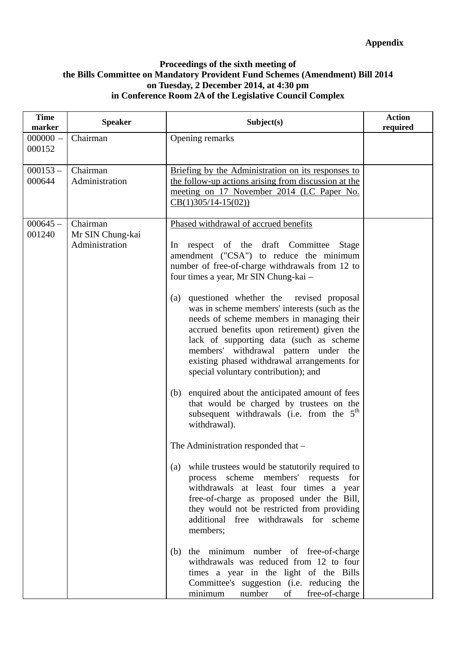### **Proceedings of the sixth meeting of the Bills Committee on Mandatory Provident Fund Schemes (Amendment) Bill 2014 on Tuesday, 2 December 2014, at 4:30 pm in Conference Room 2A of the Legislative Council Complex**

| <b>Time</b><br>marker | <b>Speaker</b>                                 | Subject(s)                                                                                                                                                                                                                                                                                                                          | <b>Action</b><br>required |
|-----------------------|------------------------------------------------|-------------------------------------------------------------------------------------------------------------------------------------------------------------------------------------------------------------------------------------------------------------------------------------------------------------------------------------|---------------------------|
| $000000 -$<br>000152  | Chairman                                       | Opening remarks                                                                                                                                                                                                                                                                                                                     |                           |
| $000153 -$<br>000644  | Chairman<br>Administration                     | Briefing by the Administration on its responses to<br>the follow-up actions arising from discussion at the<br>meeting on 17 November 2014 (LC Paper No.<br>$CB(1)305/14-15(02))$                                                                                                                                                    |                           |
| $000645 -$<br>001240  | Chairman<br>Mr SIN Chung-kai<br>Administration | Phased withdrawal of accrued benefits<br>respect of the draft Committee<br>Stage<br>$\ln$<br>amendment ("CSA") to reduce the minimum<br>number of free-of-charge withdrawals from 12 to<br>four times a year, Mr SIN Chung-kai -<br>questioned whether the revised proposal<br>(a)<br>was in scheme members' interests (such as the |                           |
|                       |                                                | needs of scheme members in managing their<br>accrued benefits upon retirement) given the<br>lack of supporting data (such as scheme<br>members' withdrawal pattern under the<br>existing phased withdrawal arrangements for<br>special voluntary contribution); and<br>enquired about the anticipated amount of fees<br>(b)         |                           |
|                       |                                                | that would be charged by trustees on the<br>subsequent withdrawals (i.e. from the $5th$<br>withdrawal).                                                                                                                                                                                                                             |                           |
|                       |                                                | The Administration responded that -                                                                                                                                                                                                                                                                                                 |                           |
|                       |                                                | while trustees would be statutorily required to<br>(a)<br>process scheme members' requests for<br>withdrawals at least four times a year<br>free-of-charge as proposed under the Bill,<br>they would not be restricted from providing<br>additional free withdrawals for scheme<br>members;                                         |                           |
|                       |                                                | the minimum number of free-of-charge<br>(b)<br>withdrawals was reduced from 12 to four<br>times a year in the light of the Bills<br>Committee's suggestion (i.e. reducing the<br>minimum<br>free-of-charge<br>number<br>of                                                                                                          |                           |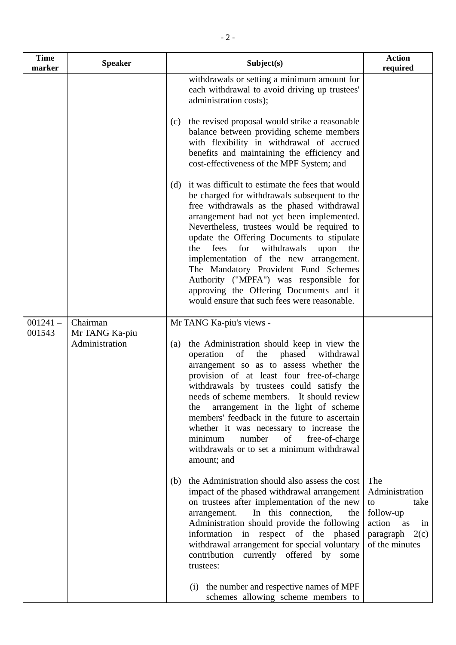| <b>Time</b><br>marker | <b>Speaker</b>                               | Subject(s)                                                                                                                                                                                                                                                                                                                                                                                                                                                                                                                                                                | <b>Action</b><br>required                                                                                          |
|-----------------------|----------------------------------------------|---------------------------------------------------------------------------------------------------------------------------------------------------------------------------------------------------------------------------------------------------------------------------------------------------------------------------------------------------------------------------------------------------------------------------------------------------------------------------------------------------------------------------------------------------------------------------|--------------------------------------------------------------------------------------------------------------------|
|                       |                                              | withdrawals or setting a minimum amount for<br>each withdrawal to avoid driving up trustees'<br>administration costs);                                                                                                                                                                                                                                                                                                                                                                                                                                                    |                                                                                                                    |
|                       |                                              | the revised proposal would strike a reasonable<br>(c)<br>balance between providing scheme members<br>with flexibility in withdrawal of accrued<br>benefits and maintaining the efficiency and<br>cost-effectiveness of the MPF System; and                                                                                                                                                                                                                                                                                                                                |                                                                                                                    |
|                       |                                              | it was difficult to estimate the fees that would<br>(d)<br>be charged for withdrawals subsequent to the<br>free withdrawals as the phased withdrawal<br>arrangement had not yet been implemented.<br>Nevertheless, trustees would be required to<br>update the Offering Documents to stipulate<br>fees<br>for<br>withdrawals<br>the<br>upon<br>the<br>implementation of the new arrangement.<br>The Mandatory Provident Fund Schemes<br>Authority ("MPFA") was responsible for<br>approving the Offering Documents and it<br>would ensure that such fees were reasonable. |                                                                                                                    |
| $001241 -$<br>001543  | Chairman<br>Mr TANG Ka-piu<br>Administration | Mr TANG Ka-piu's views -<br>the Administration should keep in view the<br>(a)<br>operation<br>of<br>the<br>phased<br>withdrawal<br>arrangement so as to assess whether the<br>provision of at least four free-of-charge<br>withdrawals by trustees could satisfy the<br>needs of scheme members. It should review<br>arrangement in the light of scheme<br>the<br>members' feedback in the future to ascertain<br>whether it was necessary to increase the<br>number<br>of<br>minimum<br>free-of-charge<br>withdrawals or to set a minimum withdrawal<br>amount; and      |                                                                                                                    |
|                       |                                              | the Administration should also assess the cost<br>(b)<br>impact of the phased withdrawal arrangement<br>on trustees after implementation of the new<br>In this connection,<br>arrangement.<br>the<br>Administration should provide the following<br>information in respect of the phased<br>withdrawal arrangement for special voluntary<br>contribution currently offered by some<br>trustees:                                                                                                                                                                           | The<br>Administration<br>to<br>take<br>follow-up<br>action<br>as<br>in<br>$paragraph \quad 2(c)$<br>of the minutes |
|                       |                                              | (i) the number and respective names of MPF<br>schemes allowing scheme members to                                                                                                                                                                                                                                                                                                                                                                                                                                                                                          |                                                                                                                    |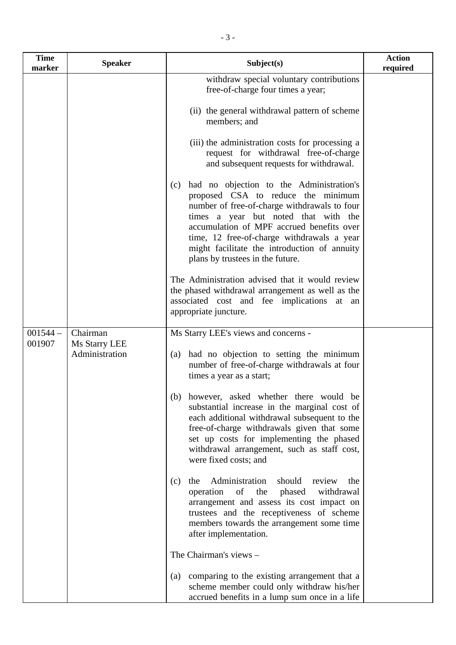| <b>Time</b><br>marker | <b>Speaker</b>                              | Subject(s)                                                                                                                                                                                                                                                                                                                                                   | <b>Action</b><br>required |
|-----------------------|---------------------------------------------|--------------------------------------------------------------------------------------------------------------------------------------------------------------------------------------------------------------------------------------------------------------------------------------------------------------------------------------------------------------|---------------------------|
|                       |                                             | withdraw special voluntary contributions<br>free-of-charge four times a year;                                                                                                                                                                                                                                                                                |                           |
|                       |                                             | (ii) the general withdrawal pattern of scheme<br>members; and                                                                                                                                                                                                                                                                                                |                           |
|                       |                                             | (iii) the administration costs for processing a<br>request for withdrawal free-of-charge<br>and subsequent requests for withdrawal.                                                                                                                                                                                                                          |                           |
|                       |                                             | had no objection to the Administration's<br>(c)<br>proposed CSA to reduce the minimum<br>number of free-of-charge withdrawals to four<br>times a year but noted that with the<br>accumulation of MPF accrued benefits over<br>time, 12 free-of-charge withdrawals a year<br>might facilitate the introduction of annuity<br>plans by trustees in the future. |                           |
|                       |                                             | The Administration advised that it would review<br>the phased withdrawal arrangement as well as the<br>associated cost and fee implications at an<br>appropriate juncture.                                                                                                                                                                                   |                           |
| $001544-$<br>001907   | Chairman<br>Ms Starry LEE<br>Administration | Ms Starry LEE's views and concerns -<br>had no objection to setting the minimum<br>(a)<br>number of free-of-charge withdrawals at four<br>times a year as a start;                                                                                                                                                                                           |                           |
|                       |                                             | (b) however, asked whether there would be<br>substantial increase in the marginal cost of<br>each additional withdrawal subsequent to the<br>free-of-charge withdrawals given that some<br>set up costs for implementing the phased<br>withdrawal arrangement, such as staff cost,<br>were fixed costs; and                                                  |                           |
|                       |                                             | Administration<br>should<br>review<br>(c)<br>the<br>the<br>of<br>phased<br>withdrawal<br>operation<br>the<br>arrangement and assess its cost impact on<br>trustees and the receptiveness of scheme<br>members towards the arrangement some time<br>after implementation.                                                                                     |                           |
|                       |                                             | The Chairman's views -                                                                                                                                                                                                                                                                                                                                       |                           |
|                       |                                             | comparing to the existing arrangement that a<br>(a)<br>scheme member could only withdraw his/her<br>accrued benefits in a lump sum once in a life                                                                                                                                                                                                            |                           |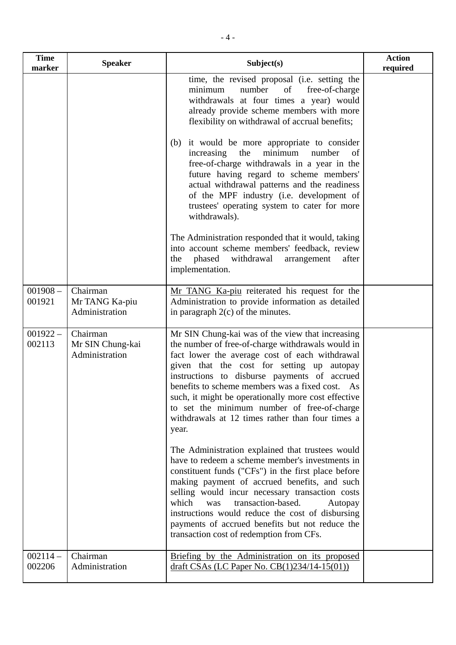| <b>Time</b><br>marker | <b>Speaker</b>                                 | Subject(s)                                                                                                                                                                                                                                                                                                                                                                                                                                                                  | <b>Action</b><br>required |
|-----------------------|------------------------------------------------|-----------------------------------------------------------------------------------------------------------------------------------------------------------------------------------------------------------------------------------------------------------------------------------------------------------------------------------------------------------------------------------------------------------------------------------------------------------------------------|---------------------------|
|                       |                                                | time, the revised proposal (i.e. setting the<br>minimum<br>number<br>free-of-charge<br>of<br>withdrawals at four times a year) would<br>already provide scheme members with more<br>flexibility on withdrawal of accrual benefits;                                                                                                                                                                                                                                          |                           |
|                       |                                                | it would be more appropriate to consider<br>(b)<br>minimum<br>increasing<br>the<br>number<br>οf<br>free-of-charge withdrawals in a year in the<br>future having regard to scheme members'<br>actual withdrawal patterns and the readiness<br>of the MPF industry (i.e. development of<br>trustees' operating system to cater for more<br>withdrawals).                                                                                                                      |                           |
|                       |                                                | The Administration responded that it would, taking<br>into account scheme members' feedback, review<br>phased withdrawal<br>after<br>the<br>arrangement<br>implementation.                                                                                                                                                                                                                                                                                                  |                           |
| $001908 -$<br>001921  | Chairman<br>Mr TANG Ka-piu<br>Administration   | Mr TANG Ka-piu reiterated his request for the<br>Administration to provide information as detailed<br>in paragraph $2(c)$ of the minutes.                                                                                                                                                                                                                                                                                                                                   |                           |
| $001922 -$<br>002113  | Chairman<br>Mr SIN Chung-kai<br>Administration | Mr SIN Chung-kai was of the view that increasing<br>the number of free-of-charge withdrawals would in<br>fact lower the average cost of each withdrawal<br>given that the cost for setting up autopay<br>instructions to disburse payments of accrued<br>benefits to scheme members was a fixed cost. As<br>such, it might be operationally more cost effective<br>to set the minimum number of free-of-charge<br>withdrawals at 12 times rather than four times a<br>year. |                           |
|                       |                                                | The Administration explained that trustees would<br>have to redeem a scheme member's investments in<br>constituent funds ("CFs") in the first place before<br>making payment of accrued benefits, and such<br>selling would incur necessary transaction costs<br>which<br>was<br>transaction-based.<br>Autopay<br>instructions would reduce the cost of disbursing<br>payments of accrued benefits but not reduce the<br>transaction cost of redemption from CFs.           |                           |
| $002114-$<br>002206   | Chairman<br>Administration                     | Briefing by the Administration on its proposed<br>draft CSAs (LC Paper No. CB(1)234/14-15(01))                                                                                                                                                                                                                                                                                                                                                                              |                           |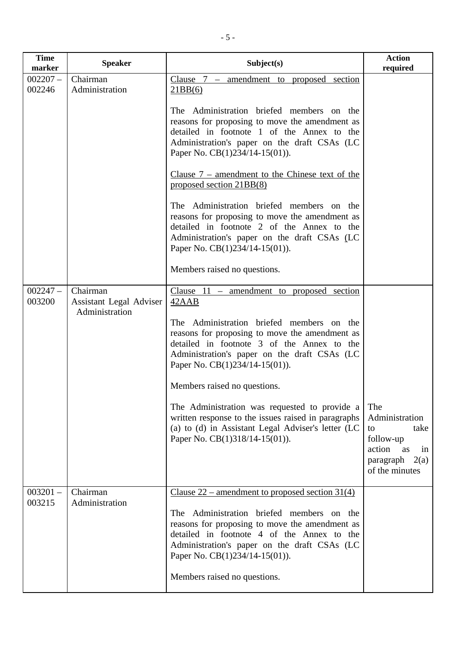| <b>Time</b><br>marker | <b>Speaker</b>                                        | Subject(s)                                                                                                                                                                                                                                                                                                                                                                                                                                                                                                          | <b>Action</b><br>required                                                                                     |
|-----------------------|-------------------------------------------------------|---------------------------------------------------------------------------------------------------------------------------------------------------------------------------------------------------------------------------------------------------------------------------------------------------------------------------------------------------------------------------------------------------------------------------------------------------------------------------------------------------------------------|---------------------------------------------------------------------------------------------------------------|
| $002207 -$<br>002246  | Chairman<br>Administration                            | Clause $7$ – amendment to proposed section<br>21BB(6)                                                                                                                                                                                                                                                                                                                                                                                                                                                               |                                                                                                               |
|                       |                                                       | The Administration briefed members on the<br>reasons for proposing to move the amendment as<br>detailed in footnote 1 of the Annex to the<br>Administration's paper on the draft CSAs (LC<br>Paper No. CB(1)234/14-15(01)).                                                                                                                                                                                                                                                                                         |                                                                                                               |
|                       |                                                       | Clause $7$ – amendment to the Chinese text of the<br>proposed section 21BB(8)                                                                                                                                                                                                                                                                                                                                                                                                                                       |                                                                                                               |
|                       |                                                       | The Administration briefed members on the<br>reasons for proposing to move the amendment as<br>detailed in footnote 2 of the Annex to the<br>Administration's paper on the draft CSAs (LC<br>Paper No. $CB(1)234/14-15(01)$ .                                                                                                                                                                                                                                                                                       |                                                                                                               |
|                       |                                                       | Members raised no questions.                                                                                                                                                                                                                                                                                                                                                                                                                                                                                        |                                                                                                               |
| $002247 -$<br>003200  | Chairman<br>Assistant Legal Adviser<br>Administration | Clause $11$ – amendment to proposed section<br>42AAB<br>The Administration briefed members on the<br>reasons for proposing to move the amendment as<br>detailed in footnote 3 of the Annex to the<br>Administration's paper on the draft CSAs (LC<br>Paper No. CB(1)234/14-15(01)).<br>Members raised no questions.<br>The Administration was requested to provide a<br>written response to the issues raised in paragraphs<br>(a) to (d) in Assistant Legal Adviser's letter (LC<br>Paper No. CB(1)318/14-15(01)). | The<br>Administration<br>take<br>to<br>follow-up<br>action<br>as<br>in<br>2(a)<br>paragraph<br>of the minutes |
| $003201 -$<br>003215  | Chairman<br>Administration                            | Clause $22$ – amendment to proposed section 31(4)<br>The Administration briefed members on the<br>reasons for proposing to move the amendment as<br>detailed in footnote 4 of the Annex to the<br>Administration's paper on the draft CSAs (LC<br>Paper No. CB(1)234/14-15(01)).<br>Members raised no questions.                                                                                                                                                                                                    |                                                                                                               |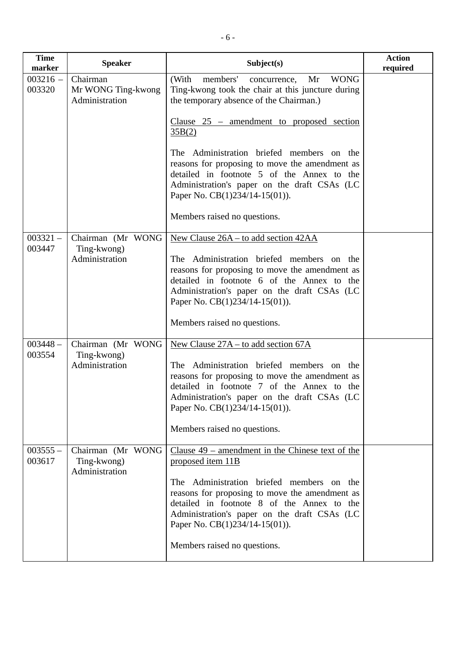| <b>Time</b><br>marker                        | <b>Speaker</b>                                                                                           | Subject(s)                                                                                                                                                                                                                                                                                                                                                                                                                                                                                                                                                                                                | <b>Action</b><br>required |
|----------------------------------------------|----------------------------------------------------------------------------------------------------------|-----------------------------------------------------------------------------------------------------------------------------------------------------------------------------------------------------------------------------------------------------------------------------------------------------------------------------------------------------------------------------------------------------------------------------------------------------------------------------------------------------------------------------------------------------------------------------------------------------------|---------------------------|
| $003216 -$<br>003320                         | Chairman<br>Mr WONG Ting-kwong<br>Administration                                                         | (With<br>members'<br>Mr<br><b>WONG</b><br>concurrence,<br>Ting-kwong took the chair at this juncture during<br>the temporary absence of the Chairman.)                                                                                                                                                                                                                                                                                                                                                                                                                                                    |                           |
|                                              |                                                                                                          | Clause $25$ – amendment to proposed section<br>35B(2)                                                                                                                                                                                                                                                                                                                                                                                                                                                                                                                                                     |                           |
|                                              |                                                                                                          | The Administration briefed members on the<br>reasons for proposing to move the amendment as<br>detailed in footnote 5 of the Annex to the<br>Administration's paper on the draft CSAs (LC<br>Paper No. CB(1)234/14-15(01)).                                                                                                                                                                                                                                                                                                                                                                               |                           |
|                                              |                                                                                                          | Members raised no questions.                                                                                                                                                                                                                                                                                                                                                                                                                                                                                                                                                                              |                           |
| $003321 -$<br>003447<br>$003448 -$<br>003554 | Chairman (Mr WONG<br>Ting-kwong)<br>Administration<br>Chairman (Mr WONG<br>Ting-kwong)<br>Administration | New Clause 26A – to add section 42AA<br>The Administration briefed members on the<br>reasons for proposing to move the amendment as<br>detailed in footnote 6 of the Annex to the<br>Administration's paper on the draft CSAs (LC<br>Paper No. CB(1)234/14-15(01)).<br>Members raised no questions.<br>New Clause 27A – to add section 67A<br>The Administration briefed members on the<br>reasons for proposing to move the amendment as<br>detailed in footnote 7 of the Annex to the<br>Administration's paper on the draft CSAs (LC<br>Paper No. CB(1)234/14-15(01)).<br>Members raised no questions. |                           |
| $003555 -$<br>003617                         | Chairman (Mr WONG<br>Ting-kwong)<br>Administration                                                       | Clause $49$ – amendment in the Chinese text of the<br>proposed item 11B<br>The Administration briefed members on the<br>reasons for proposing to move the amendment as<br>detailed in footnote 8 of the Annex to the<br>Administration's paper on the draft CSAs (LC<br>Paper No. CB(1)234/14-15(01)).<br>Members raised no questions.                                                                                                                                                                                                                                                                    |                           |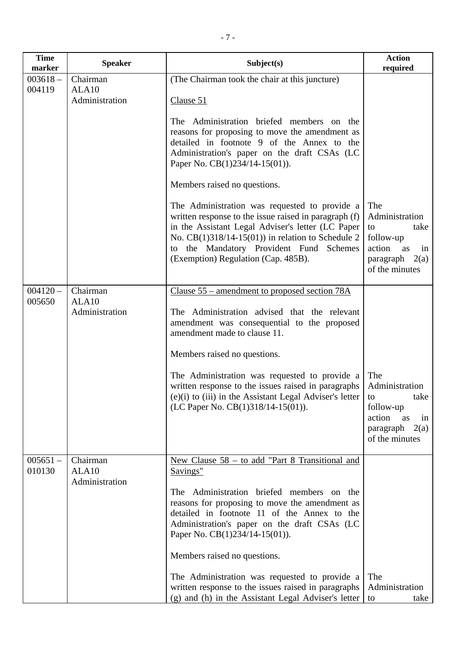| <b>Time</b>          | <b>Speaker</b>          | Subject(s)                                                                                                                                                                                                                                                                                                                                                                                                                    | <b>Action</b>                                                                                                 |
|----------------------|-------------------------|-------------------------------------------------------------------------------------------------------------------------------------------------------------------------------------------------------------------------------------------------------------------------------------------------------------------------------------------------------------------------------------------------------------------------------|---------------------------------------------------------------------------------------------------------------|
| marker<br>$003618 -$ | Chairman                | (The Chairman took the chair at this juncture)                                                                                                                                                                                                                                                                                                                                                                                | required                                                                                                      |
| 004119               | ALA10<br>Administration | Clause 51                                                                                                                                                                                                                                                                                                                                                                                                                     |                                                                                                               |
|                      |                         | The Administration briefed members on the<br>reasons for proposing to move the amendment as<br>detailed in footnote 9 of the Annex to the<br>Administration's paper on the draft CSAs (LC<br>Paper No. CB(1)234/14-15(01)).                                                                                                                                                                                                   |                                                                                                               |
|                      |                         | Members raised no questions.                                                                                                                                                                                                                                                                                                                                                                                                  |                                                                                                               |
|                      |                         | The Administration was requested to provide a<br>written response to the issue raised in paragraph (f)<br>in the Assistant Legal Adviser's letter (LC Paper<br>No. $CB(1)318/14-15(01)$ in relation to Schedule 2<br>to the Mandatory Provident Fund Schemes<br>(Exemption) Regulation (Cap. 485B).                                                                                                                           | The<br>Administration<br>to<br>take<br>follow-up<br>action<br>as<br>in<br>paragraph $2(a)$<br>of the minutes  |
| $004120 -$           | Chairman                | Clause $55$ – amendment to proposed section $78A$                                                                                                                                                                                                                                                                                                                                                                             |                                                                                                               |
| 005650               | ALA10<br>Administration | The Administration advised that the relevant<br>amendment was consequential to the proposed<br>amendment made to clause 11.                                                                                                                                                                                                                                                                                                   |                                                                                                               |
|                      |                         | Members raised no questions.                                                                                                                                                                                                                                                                                                                                                                                                  |                                                                                                               |
|                      |                         | The Administration was requested to provide a<br>written response to the issues raised in paragraphs<br>(e)(i) to (iii) in the Assistant Legal Adviser's letter<br>(LC Paper No. CB(1)318/14-15(01)).                                                                                                                                                                                                                         | The<br>Administration<br>take<br>to<br>follow-up<br>action<br>in<br>as<br>2(a)<br>paragraph<br>of the minutes |
| $005651 -$<br>010130 | Chairman<br>ALA10       | New Clause 58 – to add "Part 8 Transitional and<br>Savings"                                                                                                                                                                                                                                                                                                                                                                   |                                                                                                               |
|                      | Administration          | The Administration briefed members on the<br>reasons for proposing to move the amendment as<br>detailed in footnote 11 of the Annex to the<br>Administration's paper on the draft CSAs (LC<br>Paper No. $CB(1)234/14-15(01)$ .<br>Members raised no questions.<br>The Administration was requested to provide a<br>written response to the issues raised in paragraphs<br>(g) and (h) in the Assistant Legal Adviser's letter | The<br>Administration<br>to<br>take                                                                           |